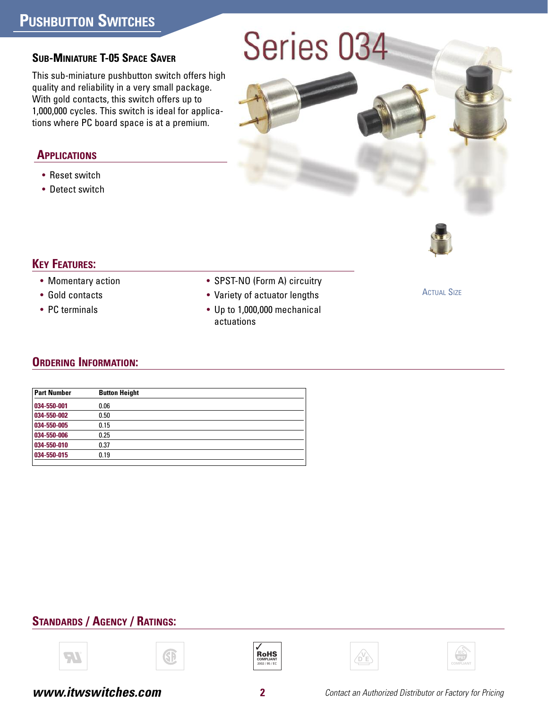# **PUSHBUTTON SWITCHES**

# Series 034

#### **SUB-MINIATURE T-05 SPACE SAVER**

This sub-miniature pushbutton switch offers high quality and reliability in a very small package. With gold contacts, this switch offers up to 1,000,000 cycles. This switch is ideal for applications where PC board space is at a premium.

#### **APPLICATIONS**

- Reset switch
- Detect switch



## **KEY FEATURES:**

- Momentary action
- Gold contacts
- PC terminals
- SPST-NO (Form A) circuitry
- Variety of actuator lengths
- Up to 1,000,000 mechanical actuations

**ACTUAL SIZE** 

## **ORDERING INFORMATION:**

| <b>Part Number</b> | <b>Button Height</b> |
|--------------------|----------------------|
| 034-550-001        | 0.06                 |
| 034-550-002        | 0.50                 |
| 034-550-005        | 0.15                 |
| 034-550-006        | 0.25                 |
| 034-550-010        | 0.37                 |
| 034-550-015        | 0.19                 |
|                    |                      |

## **STANDARDS / AGENCY / RATINGS:**









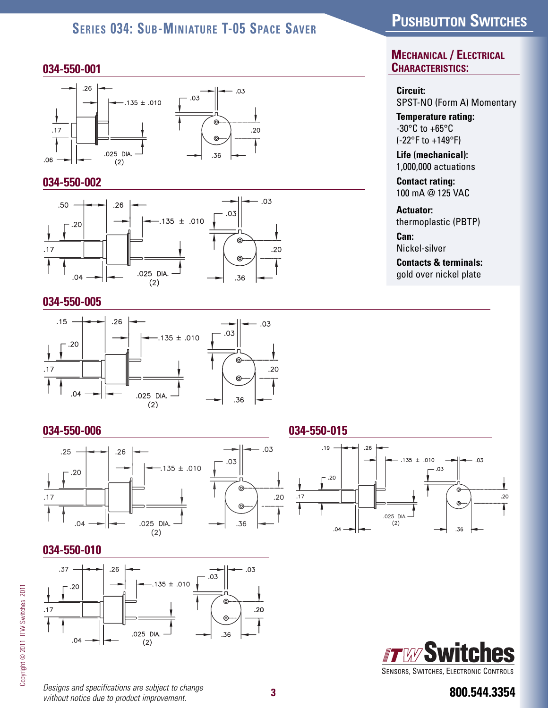## **SERIES 034: SUB-MINIATURE T-05 SPACE SAVER**

#### **034-550-001**



#### **034-550-002**



#### **034-550-005**



#### **034-550-006**



## **034-550-010**



**800.544.3354** *Designs and specifications are subject to change*

**PUSHBUTTON SWITCHES**

**MECHANICAL / ELECTRICAL CHARACTERISTICS:**

#### **Circuit:**

SPST-NO (Form A) Momentary

**Temperature rating:** -30°C to +65°C (-22°F to +149°F)

**Life (mechanical):** 1,000,000 actuations

**Contact rating:** 100 mA @ 125 VAC

#### **Actuator:**

thermoplastic (PBTP)

**Can:** Nickel-silver

**Contacts & terminals:** gold over nickel plate

#### **034-550-015**